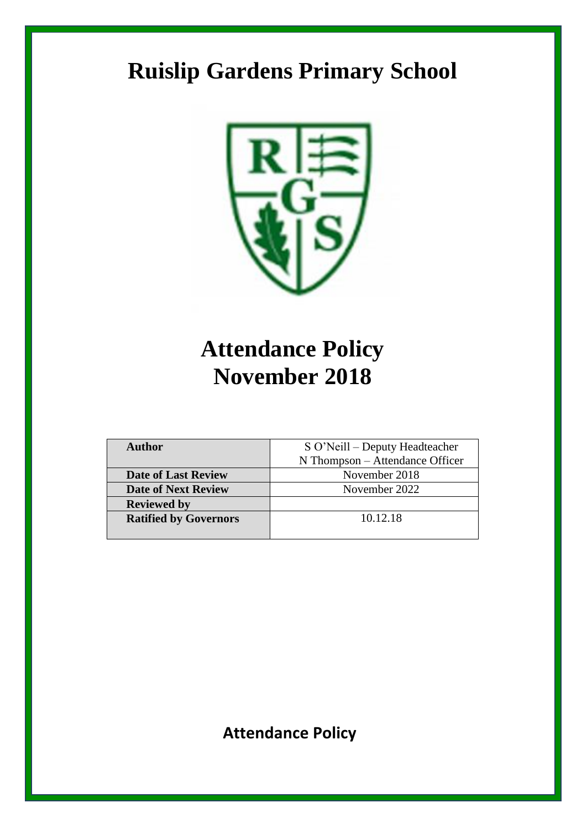# **Ruislip Gardens Primary School**



# **Attendance Policy November 2018**

| <b>Author</b>                | S O'Neill – Deputy Headteacher  |
|------------------------------|---------------------------------|
|                              | N Thompson – Attendance Officer |
| <b>Date of Last Review</b>   | November 2018                   |
| <b>Date of Next Review</b>   | November 2022                   |
| <b>Reviewed by</b>           |                                 |
| <b>Ratified by Governors</b> | 10.12.18                        |
|                              |                                 |

**Attendance Policy**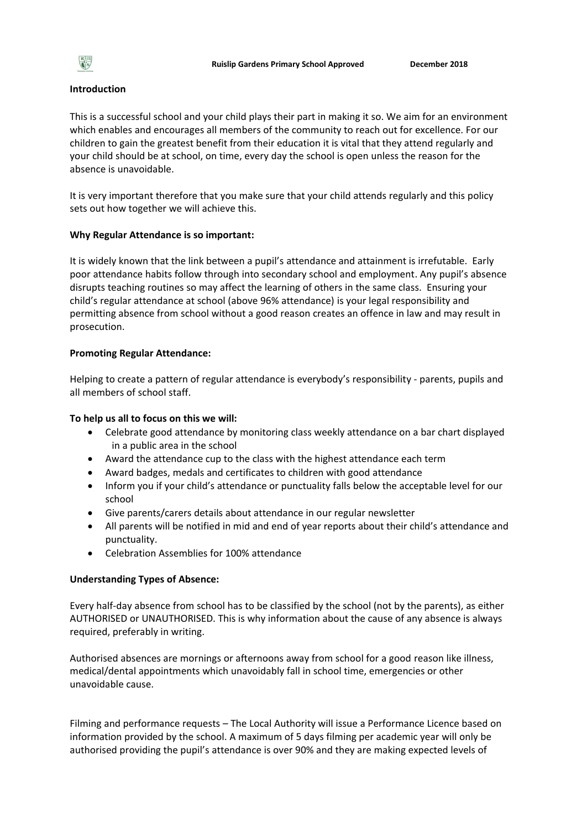

#### **Introduction**

This is a successful school and your child plays their part in making it so. We aim for an environment which enables and encourages all members of the community to reach out for excellence. For our children to gain the greatest benefit from their education it is vital that they attend regularly and your child should be at school, on time, every day the school is open unless the reason for the absence is unavoidable.

It is very important therefore that you make sure that your child attends regularly and this policy sets out how together we will achieve this.

#### **Why Regular Attendance is so important:**

It is widely known that the link between a pupil's attendance and attainment is irrefutable. Early poor attendance habits follow through into secondary school and employment. Any pupil's absence disrupts teaching routines so may affect the learning of others in the same class. Ensuring your child's regular attendance at school (above 96% attendance) is your legal responsibility and permitting absence from school without a good reason creates an offence in law and may result in prosecution.

#### **Promoting Regular Attendance:**

Helping to create a pattern of regular attendance is everybody's responsibility - parents, pupils and all members of school staff.

### **To help us all to focus on this we will:**

- Celebrate good attendance by monitoring class weekly attendance on a bar chart displayed in a public area in the school
- Award the attendance cup to the class with the highest attendance each term
- Award badges, medals and certificates to children with good attendance
- Inform you if your child's attendance or punctuality falls below the acceptable level for our school
- Give parents/carers details about attendance in our regular newsletter
- All parents will be notified in mid and end of year reports about their child's attendance and punctuality.
- Celebration Assemblies for 100% attendance

#### **Understanding Types of Absence:**

Every half-day absence from school has to be classified by the school (not by the parents), as either AUTHORISED or UNAUTHORISED. This is why information about the cause of any absence is always required, preferably in writing.

Authorised absences are mornings or afternoons away from school for a good reason like illness, medical/dental appointments which unavoidably fall in school time, emergencies or other unavoidable cause.

Filming and performance requests – The Local Authority will issue a Performance Licence based on information provided by the school. A maximum of 5 days filming per academic year will only be authorised providing the pupil's attendance is over 90% and they are making expected levels of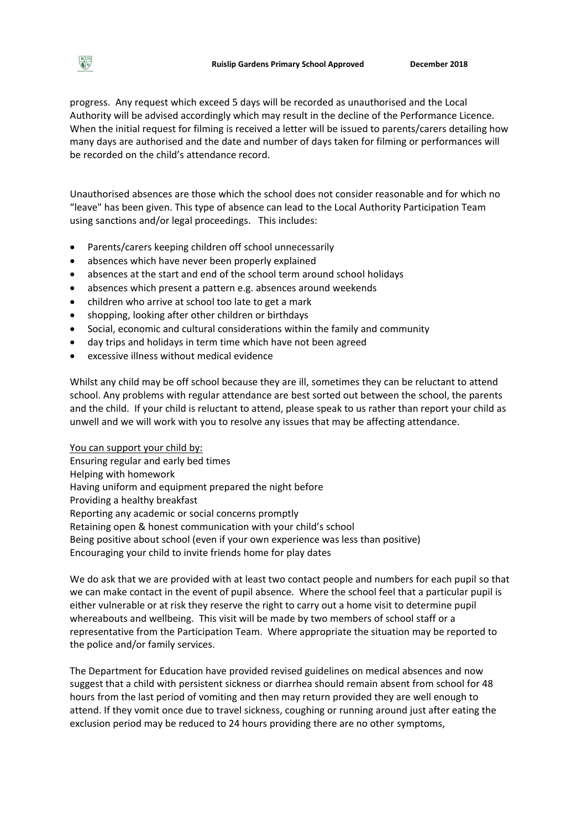progress. Any request which exceed 5 days will be recorded as unauthorised and the Local Authority will be advised accordingly which may result in the decline of the Performance Licence. When the initial request for filming is received a letter will be issued to parents/carers detailing how many days are authorised and the date and number of days taken for filming or performances will be recorded on the child's attendance record.

Unauthorised absences are those which the school does not consider reasonable and for which no "leave" has been given. This type of absence can lead to the Local Authority Participation Team using sanctions and/or legal proceedings. This includes:

- Parents/carers keeping children off school unnecessarily
- absences which have never been properly explained
- absences at the start and end of the school term around school holidays
- absences which present a pattern e.g. absences around weekends
- children who arrive at school too late to get a mark
- shopping, looking after other children or birthdays
- Social, economic and cultural considerations within the family and community
- day trips and holidays in term time which have not been agreed
- excessive illness without medical evidence

Whilst any child may be off school because they are ill, sometimes they can be reluctant to attend school. Any problems with regular attendance are best sorted out between the school, the parents and the child. If your child is reluctant to attend, please speak to us rather than report your child as unwell and we will work with you to resolve any issues that may be affecting attendance.

You can support your child by:

Ensuring regular and early bed times Helping with homework Having uniform and equipment prepared the night before Providing a healthy breakfast Reporting any academic or social concerns promptly Retaining open & honest communication with your child's school Being positive about school (even if your own experience was less than positive) Encouraging your child to invite friends home for play dates

We do ask that we are provided with at least two contact people and numbers for each pupil so that we can make contact in the event of pupil absence. Where the school feel that a particular pupil is either vulnerable or at risk they reserve the right to carry out a home visit to determine pupil whereabouts and wellbeing. This visit will be made by two members of school staff or a representative from the Participation Team. Where appropriate the situation may be reported to the police and/or family services.

The Department for Education have provided revised guidelines on medical absences and now suggest that a child with persistent sickness or diarrhea should remain absent from school for 48 hours from the last period of vomiting and then may return provided they are well enough to attend. If they vomit once due to travel sickness, coughing or running around just after eating the exclusion period may be reduced to 24 hours providing there are no other symptoms,

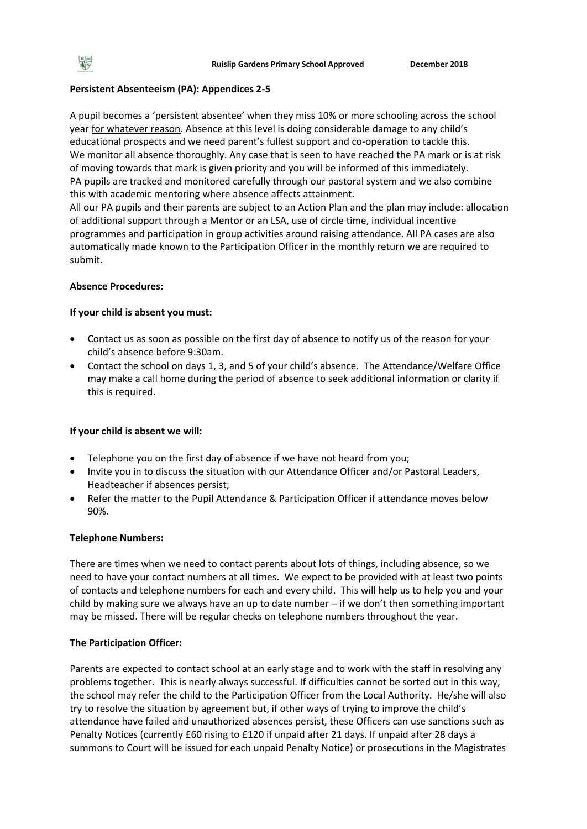# **Persistent Absenteeism (PA): Appendices 2-5**

A pupil becomes a 'persistent absentee' when they miss 10% or more schooling across the school year for whatever reason. Absence at this level is doing considerable damage to any child's educational prospects and we need parent's fullest support and co-operation to tackle this. We monitor all absence thoroughly. Any case that is seen to have reached the PA mark or is at risk of moving towards that mark is given priority and you will be informed of this immediately. PA pupils are tracked and monitored carefully through our pastoral system and we also combine this with academic mentoring where absence affects attainment.

All our PA pupils and their parents are subject to an Action Plan and the plan may include: allocation of additional support through a Mentor or an LSA, use of circle time, individual incentive programmes and participation in group activities around raising attendance. All PA cases are also automatically made known to the Participation Officer in the monthly return we are required to submit.

## **Absence Procedures:**

## **If your child is absent you must:**

- Contact us as soon as possible on the first day of absence to notify us of the reason for your child's absence before 9:30am.
- Contact the school on days 1, 3, and 5 of your child's absence. The Attendance/Welfare Office may make a call home during the period of absence to seek additional information or clarity if this is required.

## **If your child is absent we will:**

- Telephone you on the first day of absence if we have not heard from you;
- Invite you in to discuss the situation with our Attendance Officer and/or Pastoral Leaders, Headteacher if absences persist;
- Refer the matter to the Pupil Attendance & Participation Officer if attendance moves below 90%.

## **Telephone Numbers:**

There are times when we need to contact parents about lots of things, including absence, so we need to have your contact numbers at all times. We expect to be provided with at least two points of contacts and telephone numbers for each and every child. This will help us to help you and your child by making sure we always have an up to date number – if we don't then something important may be missed. There will be regular checks on telephone numbers throughout the year.

## **The Participation Officer:**

Parents are expected to contact school at an early stage and to work with the staff in resolving any problems together. This is nearly always successful. If difficulties cannot be sorted out in this way, the school may refer the child to the Participation Officer from the Local Authority. He/she will also try to resolve the situation by agreement but, if other ways of trying to improve the child's attendance have failed and unauthorized absences persist, these Officers can use sanctions such as Penalty Notices (currently £60 rising to £120 if unpaid after 21 days. If unpaid after 28 days a summons to Court will be issued for each unpaid Penalty Notice) or prosecutions in the Magistrates

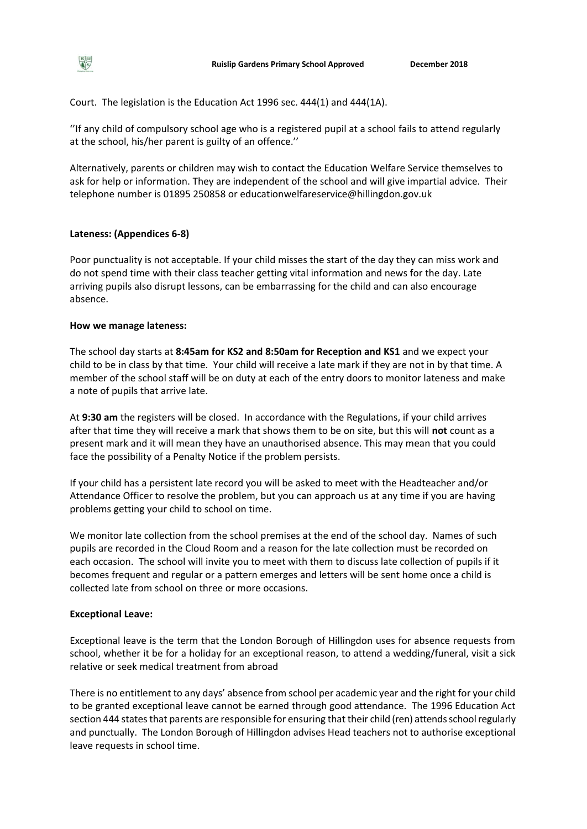Court. The legislation is the Education Act 1996 sec. 444(1) and 444(1A).

''If any child of compulsory school age who is a registered pupil at a school fails to attend regularly at the school, his/her parent is guilty of an offence.''

Alternatively, parents or children may wish to contact the Education Welfare Service themselves to ask for help or information. They are independent of the school and will give impartial advice. Their telephone number is 01895 250858 or educationwelfareservice@hillingdon.gov.uk

### **Lateness: (Appendices 6-8)**

Poor punctuality is not acceptable. If your child misses the start of the day they can miss work and do not spend time with their class teacher getting vital information and news for the day. Late arriving pupils also disrupt lessons, can be embarrassing for the child and can also encourage absence.

### **How we manage lateness:**

The school day starts at **8:45am for KS2 and 8:50am for Reception and KS1** and we expect your child to be in class by that time. Your child will receive a late mark if they are not in by that time. A member of the school staff will be on duty at each of the entry doors to monitor lateness and make a note of pupils that arrive late.

At **9:30 am** the registers will be closed. In accordance with the Regulations, if your child arrives after that time they will receive a mark that shows them to be on site, but this will **not** count as a present mark and it will mean they have an unauthorised absence. This may mean that you could face the possibility of a Penalty Notice if the problem persists.

If your child has a persistent late record you will be asked to meet with the Headteacher and/or Attendance Officer to resolve the problem, but you can approach us at any time if you are having problems getting your child to school on time.

We monitor late collection from the school premises at the end of the school day. Names of such pupils are recorded in the Cloud Room and a reason for the late collection must be recorded on each occasion. The school will invite you to meet with them to discuss late collection of pupils if it becomes frequent and regular or a pattern emerges and letters will be sent home once a child is collected late from school on three or more occasions.

### **Exceptional Leave:**

Exceptional leave is the term that the London Borough of Hillingdon uses for absence requests from school, whether it be for a holiday for an exceptional reason, to attend a wedding/funeral, visit a sick relative or seek medical treatment from abroad

There is no entitlement to any days' absence from school per academic year and the right for your child to be granted exceptional leave cannot be earned through good attendance. The 1996 Education Act section 444 states that parents are responsible for ensuring that their child (ren) attends school regularly and punctually. The London Borough of Hillingdon advises Head teachers not to authorise exceptional leave requests in school time.

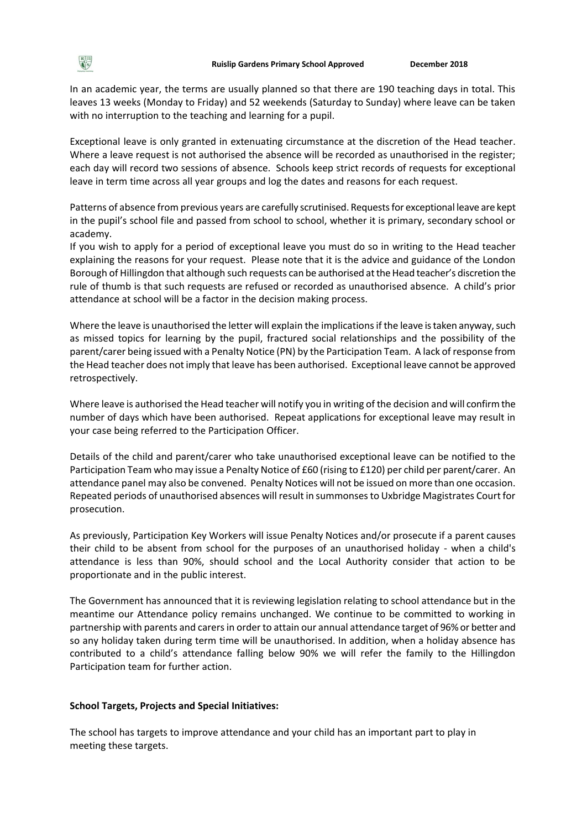In an academic year, the terms are usually planned so that there are 190 teaching days in total. This leaves 13 weeks (Monday to Friday) and 52 weekends (Saturday to Sunday) where leave can be taken with no interruption to the teaching and learning for a pupil.

Exceptional leave is only granted in extenuating circumstance at the discretion of the Head teacher. Where a leave request is not authorised the absence will be recorded as unauthorised in the register; each day will record two sessions of absence. Schools keep strict records of requests for exceptional leave in term time across all year groups and log the dates and reasons for each request.

Patterns of absence from previous years are carefully scrutinised. Requests for exceptional leave are kept in the pupil's school file and passed from school to school, whether it is primary, secondary school or academy.

If you wish to apply for a period of exceptional leave you must do so in writing to the Head teacher explaining the reasons for your request. Please note that it is the advice and guidance of the London Borough of Hillingdon that although such requests can be authorised at the Head teacher's discretion the rule of thumb is that such requests are refused or recorded as unauthorised absence. A child's prior attendance at school will be a factor in the decision making process.

Where the leave is unauthorised the letter will explain the implications if the leave is taken anyway, such as missed topics for learning by the pupil, fractured social relationships and the possibility of the parent/carer being issued with a Penalty Notice (PN) by the Participation Team. A lack of response from the Head teacher does not imply that leave has been authorised. Exceptional leave cannot be approved retrospectively.

Where leave is authorised the Head teacher will notify you in writing of the decision and will confirm the number of days which have been authorised. Repeat applications for exceptional leave may result in your case being referred to the Participation Officer.

Details of the child and parent/carer who take unauthorised exceptional leave can be notified to the Participation Team who may issue a Penalty Notice of £60 (rising to £120) per child per parent/carer. An attendance panel may also be convened. Penalty Notices will not be issued on more than one occasion. Repeated periods of unauthorised absences will result in summonses to Uxbridge Magistrates Court for prosecution.

As previously, Participation Key Workers will issue Penalty Notices and/or prosecute if a parent causes their child to be absent from school for the purposes of an unauthorised holiday - when a child's attendance is less than 90%, should school and the Local Authority consider that action to be proportionate and in the public interest.

The Government has announced that it is reviewing legislation relating to school attendance but in the meantime our Attendance policy remains unchanged. We continue to be committed to working in partnership with parents and carers in order to attain our annual attendance target of 96% or better and so any holiday taken during term time will be unauthorised. In addition, when a holiday absence has contributed to a child's attendance falling below 90% we will refer the family to the Hillingdon Participation team for further action.

#### **School Targets, Projects and Special Initiatives:**

The school has targets to improve attendance and your child has an important part to play in meeting these targets.

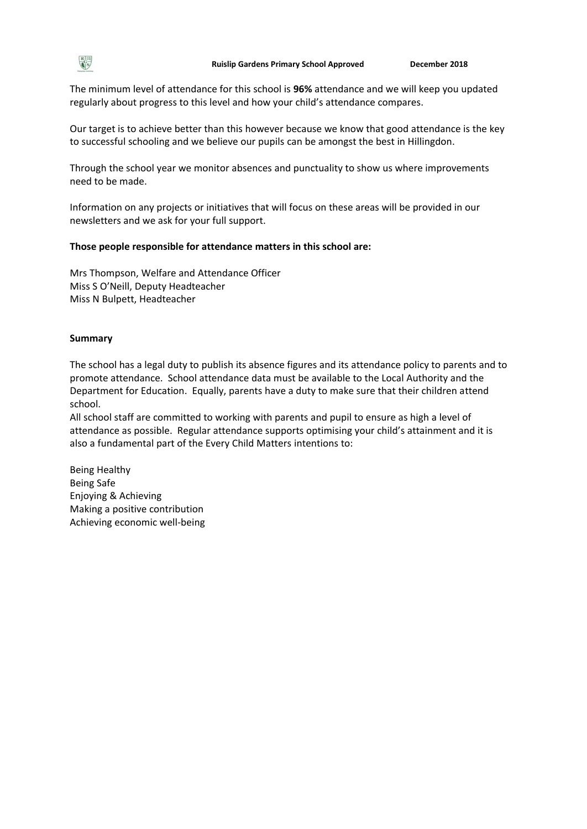

The minimum level of attendance for this school is **96%** attendance and we will keep you updated regularly about progress to this level and how your child's attendance compares.

Our target is to achieve better than this however because we know that good attendance is the key to successful schooling and we believe our pupils can be amongst the best in Hillingdon.

Through the school year we monitor absences and punctuality to show us where improvements need to be made.

Information on any projects or initiatives that will focus on these areas will be provided in our newsletters and we ask for your full support.

### **Those people responsible for attendance matters in this school are:**

Mrs Thompson, Welfare and Attendance Officer Miss S O'Neill, Deputy Headteacher Miss N Bulpett, Headteacher

#### **Summary**

The school has a legal duty to publish its absence figures and its attendance policy to parents and to promote attendance. School attendance data must be available to the Local Authority and the Department for Education. Equally, parents have a duty to make sure that their children attend school.

All school staff are committed to working with parents and pupil to ensure as high a level of attendance as possible. Regular attendance supports optimising your child's attainment and it is also a fundamental part of the Every Child Matters intentions to:

Being Healthy Being Safe Enjoying & Achieving Making a positive contribution Achieving economic well-being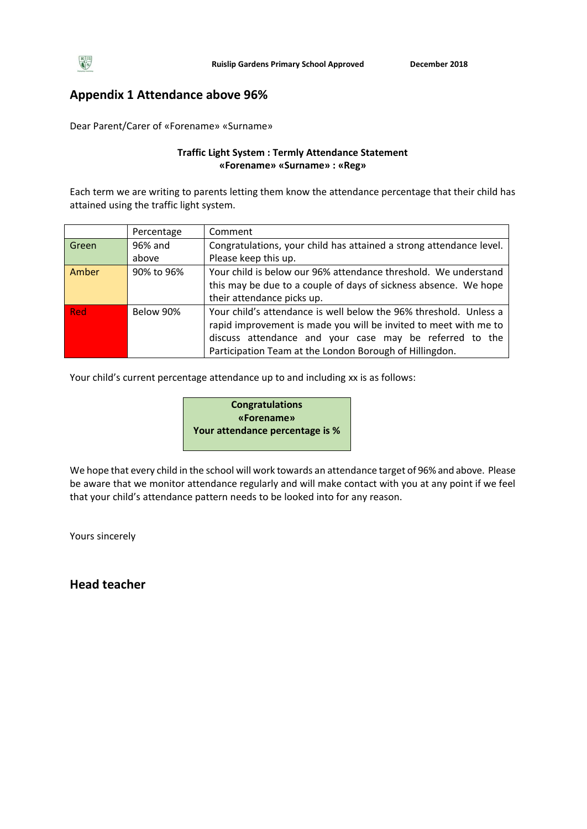

# **Appendix 1 Attendance above 96%**

Dear Parent/Carer of «Forename» «Surname»

## **Traffic Light System : Termly Attendance Statement «Forename» «Surname» : «Reg»**

Each term we are writing to parents letting them know the attendance percentage that their child has attained using the traffic light system.

|            | Percentage | Comment                                                                                                                                                                                                                                                     |
|------------|------------|-------------------------------------------------------------------------------------------------------------------------------------------------------------------------------------------------------------------------------------------------------------|
| Green      | 96% and    | Congratulations, your child has attained a strong attendance level.                                                                                                                                                                                         |
|            | above      | Please keep this up.                                                                                                                                                                                                                                        |
| Amber      | 90% to 96% | Your child is below our 96% attendance threshold. We understand<br>this may be due to a couple of days of sickness absence. We hope                                                                                                                         |
|            |            | their attendance picks up.                                                                                                                                                                                                                                  |
| <b>Red</b> | Below 90%  | Your child's attendance is well below the 96% threshold. Unless a<br>rapid improvement is made you will be invited to meet with me to<br>discuss attendance and your case may be referred to the<br>Participation Team at the London Borough of Hillingdon. |

Your child's current percentage attendance up to and including xx is as follows:



We hope that every child in the school will work towards an attendance target of 96% and above. Please be aware that we monitor attendance regularly and will make contact with you at any point if we feel that your child's attendance pattern needs to be looked into for any reason.

Yours sincerely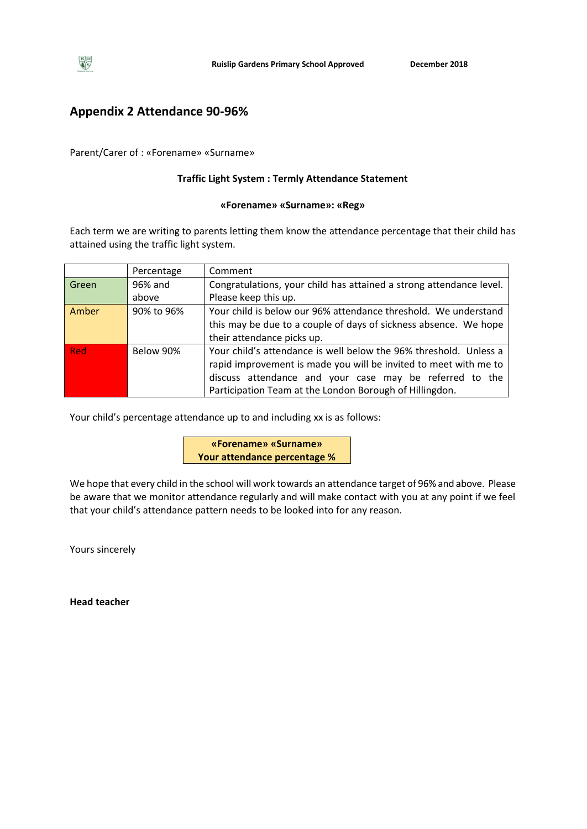

## **Appendix 2 Attendance 90-96%**

Parent/Carer of : «Forename» «Surname»

## **Traffic Light System : Termly Attendance Statement**

#### **«Forename» «Surname»: «Reg»**

Each term we are writing to parents letting them know the attendance percentage that their child has attained using the traffic light system.

|            | Percentage | Comment                                                             |
|------------|------------|---------------------------------------------------------------------|
| Green      | 96% and    | Congratulations, your child has attained a strong attendance level. |
|            | above      | Please keep this up.                                                |
| Amber      | 90% to 96% | Your child is below our 96% attendance threshold. We understand     |
|            |            | this may be due to a couple of days of sickness absence. We hope    |
|            |            | their attendance picks up.                                          |
| <b>Red</b> | Below 90%  | Your child's attendance is well below the 96% threshold. Unless a   |
|            |            | rapid improvement is made you will be invited to meet with me to    |
|            |            | discuss attendance and your case may be referred to the             |
|            |            | Participation Team at the London Borough of Hillingdon.             |

Your child's percentage attendance up to and including xx is as follows:

**«Forename» «Surname» Your attendance percentage %**

We hope that every child in the school will work towards an attendance target of 96% and above. Please be aware that we monitor attendance regularly and will make contact with you at any point if we feel that your child's attendance pattern needs to be looked into for any reason.

Yours sincerely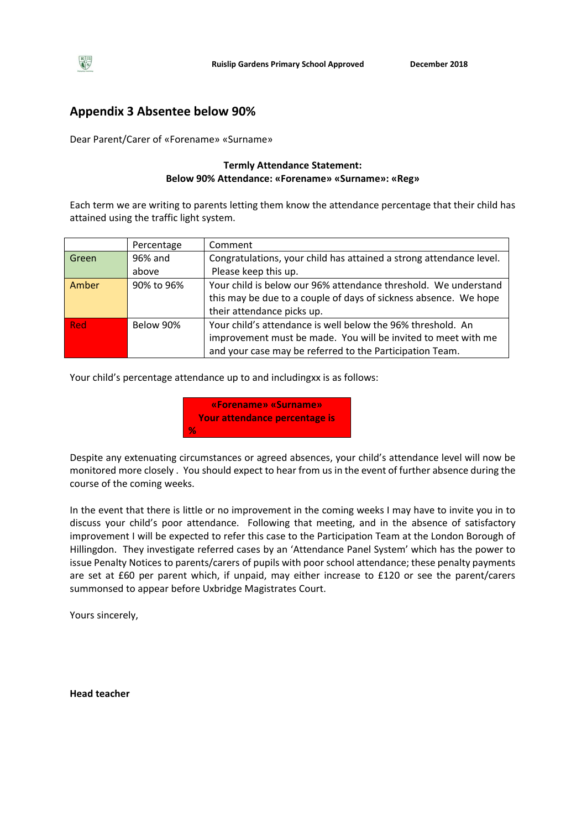# **Appendix 3 Absentee below 90%**

Dear Parent/Carer of «Forename» «Surname»

## **Termly Attendance Statement: Below 90% Attendance: «Forename» «Surname»: «Reg»**

Each term we are writing to parents letting them know the attendance percentage that their child has attained using the traffic light system.

|       | Percentage | Comment                                                             |
|-------|------------|---------------------------------------------------------------------|
| Green | 96% and    | Congratulations, your child has attained a strong attendance level. |
|       | above      | Please keep this up.                                                |
| Amber | 90% to 96% | Your child is below our 96% attendance threshold. We understand     |
|       |            | this may be due to a couple of days of sickness absence. We hope    |
|       |            | their attendance picks up.                                          |
| Red   | Below 90%  | Your child's attendance is well below the 96% threshold. An         |
|       |            | improvement must be made. You will be invited to meet with me       |
|       |            | and your case may be referred to the Participation Team.            |

Your child's percentage attendance up to and includingxx is as follows:



Despite any extenuating circumstances or agreed absences, your child's attendance level will now be monitored more closely . You should expect to hear from us in the event of further absence during the course of the coming weeks.

In the event that there is little or no improvement in the coming weeks I may have to invite you in to discuss your child's poor attendance. Following that meeting, and in the absence of satisfactory improvement I will be expected to refer this case to the Participation Team at the London Borough of Hillingdon. They investigate referred cases by an 'Attendance Panel System' which has the power to issue Penalty Notices to parents/carers of pupils with poor school attendance; these penalty payments are set at £60 per parent which, if unpaid, may either increase to £120 or see the parent/carers summonsed to appear before Uxbridge Magistrates Court.

Yours sincerely,

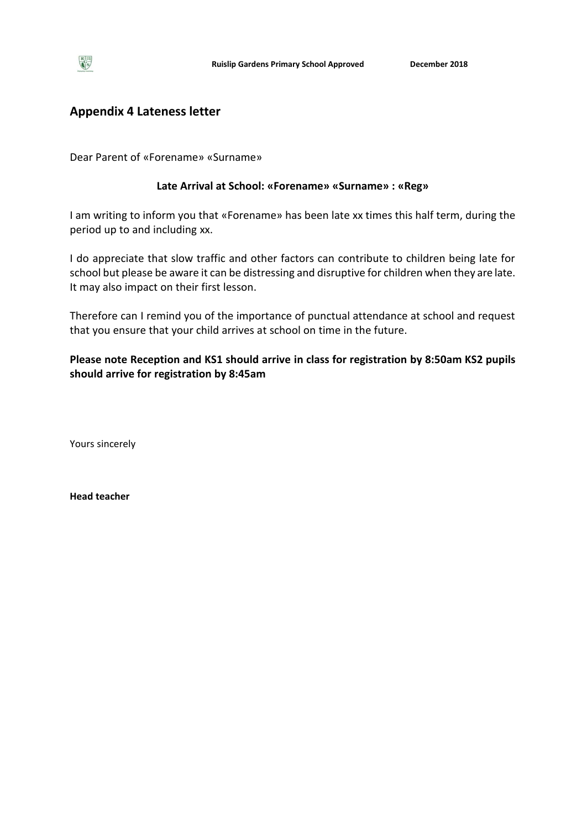# **Appendix 4 Lateness letter**

Dear Parent of «Forename» «Surname»

## **Late Arrival at School: «Forename» «Surname» : «Reg»**

I am writing to inform you that «Forename» has been late xx times this half term, during the period up to and including xx.

I do appreciate that slow traffic and other factors can contribute to children being late for school but please be aware it can be distressing and disruptive for children when they are late. It may also impact on their first lesson.

Therefore can I remind you of the importance of punctual attendance at school and request that you ensure that your child arrives at school on time in the future.

**Please note Reception and KS1 should arrive in class for registration by 8:50am KS2 pupils should arrive for registration by 8:45am** 

Yours sincerely

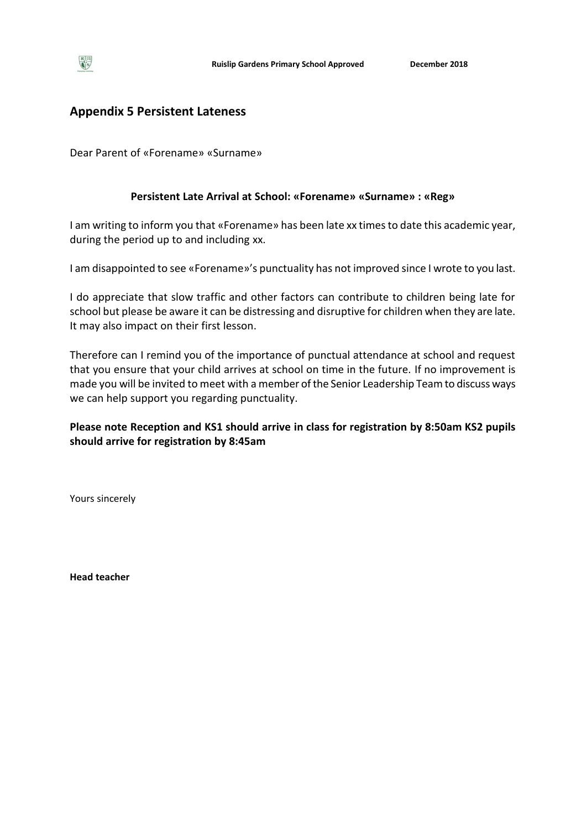# **Appendix 5 Persistent Lateness**

Dear Parent of «Forename» «Surname»

## **Persistent Late Arrival at School: «Forename» «Surname» : «Reg»**

I am writing to inform you that «Forename» has been late xx times to date this academic year, during the period up to and including xx.

I am disappointed to see «Forename»'s punctuality has not improved since I wrote to you last.

I do appreciate that slow traffic and other factors can contribute to children being late for school but please be aware it can be distressing and disruptive for children when they are late. It may also impact on their first lesson.

Therefore can I remind you of the importance of punctual attendance at school and request that you ensure that your child arrives at school on time in the future. If no improvement is made you will be invited to meet with a member of the Senior Leadership Team to discuss ways we can help support you regarding punctuality.

## **Please note Reception and KS1 should arrive in class for registration by 8:50am KS2 pupils should arrive for registration by 8:45am**

Yours sincerely

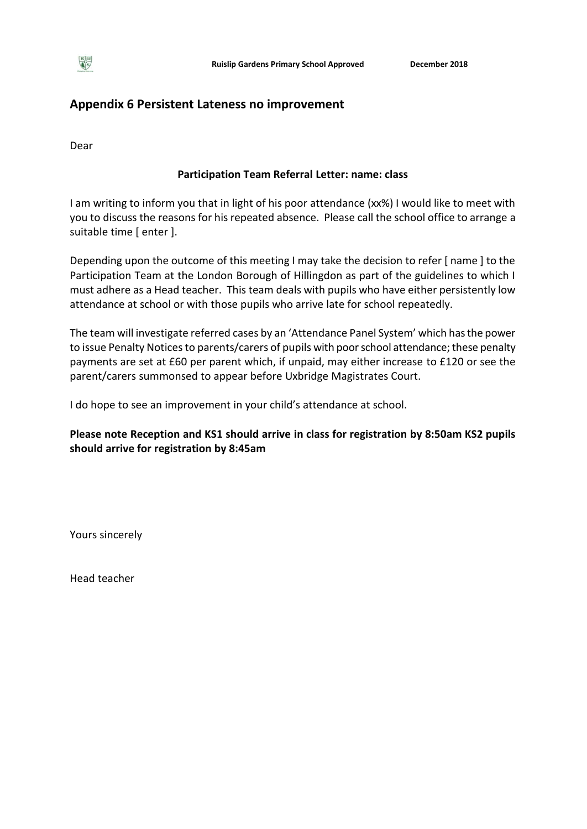

# **Appendix 6 Persistent Lateness no improvement**

Dear

## **Participation Team Referral Letter: name: class**

I am writing to inform you that in light of his poor attendance (xx%) I would like to meet with you to discuss the reasons for his repeated absence. Please call the school office to arrange a suitable time [ enter ].

Depending upon the outcome of this meeting I may take the decision to refer [ name ] to the Participation Team at the London Borough of Hillingdon as part of the guidelines to which I must adhere as a Head teacher. This team deals with pupils who have either persistently low attendance at school or with those pupils who arrive late for school repeatedly.

The team will investigate referred cases by an 'Attendance Panel System' which has the power to issue Penalty Notices to parents/carers of pupils with poor school attendance; these penalty payments are set at £60 per parent which, if unpaid, may either increase to £120 or see the parent/carers summonsed to appear before Uxbridge Magistrates Court.

I do hope to see an improvement in your child's attendance at school.

**Please note Reception and KS1 should arrive in class for registration by 8:50am KS2 pupils should arrive for registration by 8:45am** 

Yours sincerely